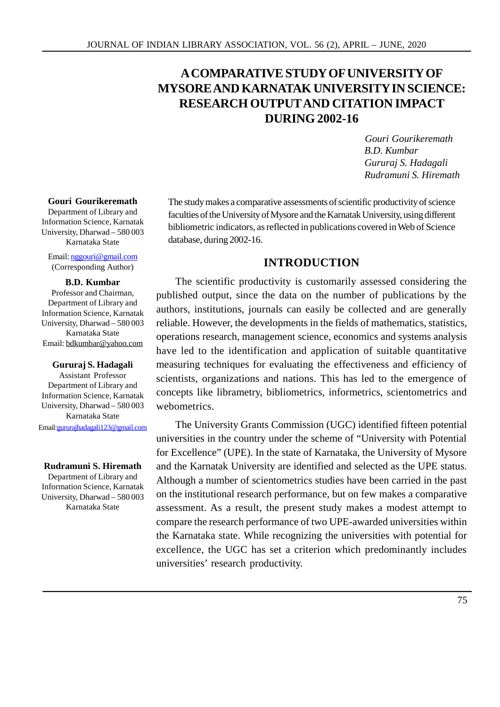# **A COMPARATIVE STUDY OF UNIVERSITY OF MYSORE AND KARNATAK UNIVERSITY IN SCIENCE: RESEARCH OUTPUT AND CITATION IMPACT DURING 2002-16**

 *Gouri Gourikeremath B.D. Kumbar Gururaj S. Hadagali Rudramuni S. Hiremath*

#### **Gouri Gourikeremath**

Department of Library and Information Science, Karnatak University, Dharwad – 580 003 Karnataka State

Email: nggouri@gmail.com (Corresponding Author)

#### **B.D. Kumbar**

Professor and Chairman, Department of Library and Information Science, Karnatak University, Dharwad – 580 003 Karnataka State Email: bdkumbar@yahoo.com

#### **Gururaj S. Hadagali**

Assistant Professor Department of Library and Information Science, Karnatak University, Dharwad – 580 003 Karnataka State Email:gururajhadagali123@gmail.com

#### **Rudramuni S. Hiremath**

Department of Library and Information Science, Karnatak University, Dharwad – 580 003 Karnataka State

The study makes a comparative assessments of scientific productivity of science faculties of the University of Mysore and the Karnatak University, using different bibliometric indicators, as reflected in publications covered in Web of Science database, during 2002-16.

# **INTRODUCTION**

The scientific productivity is customarily assessed considering the published output, since the data on the number of publications by the authors, institutions, journals can easily be collected and are generally reliable. However, the developments in the fields of mathematics, statistics, operations research, management science, economics and systems analysis have led to the identification and application of suitable quantitative measuring techniques for evaluating the effectiveness and efficiency of scientists, organizations and nations. This has led to the emergence of concepts like librametry, bibliometrics, informetrics, scientometrics and webometrics.

The University Grants Commission (UGC) identified fifteen potential universities in the country under the scheme of "University with Potential for Excellence" (UPE). In the state of Karnataka, the University of Mysore and the Karnatak University are identified and selected as the UPE status. Although a number of scientometrics studies have been carried in the past on the institutional research performance, but on few makes a comparative assessment. As a result, the present study makes a modest attempt to compare the research performance of two UPE-awarded universities within the Karnataka state. While recognizing the universities with potential for excellence, the UGC has set a criterion which predominantly includes universities' research productivity.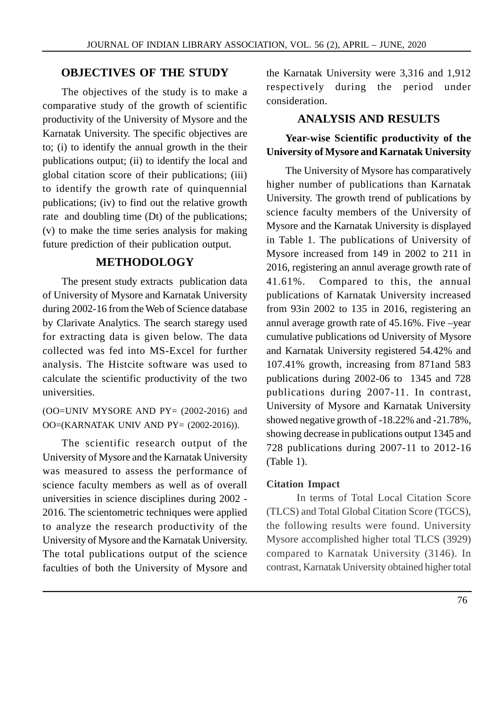# **OBJECTIVES OF THE STUDY**

The objectives of the study is to make a comparative study of the growth of scientific productivity of the University of Mysore and the Karnatak University. The specific objectives are to; (i) to identify the annual growth in the their publications output; (ii) to identify the local and global citation score of their publications; (iii) to identify the growth rate of quinquennial publications; (iv) to find out the relative growth rate and doubling time (Dt) of the publications; (v) to make the time series analysis for making future prediction of their publication output.

# **METHODOLOGY**

The present study extracts publication data 41.61%. of University of Mysore and Karnatak University during 2002-16 from the Web of Science database by Clarivate Analytics. The search staregy used for extracting data is given below. The data collected was fed into MS-Excel for further analysis. The Histcite software was used to calculate the scientific productivity of the two universities.

 $(OO=UNIV MYSORE AND PY = (2002-2016)$  and OO=(KARNATAK UNIV AND PY= (2002-2016)).

The scientific research output of the University of Mysore and the Karnatak University was measured to assess the performance of science faculty members as well as of overall universities in science disciplines during 2002 - 2016. The scientometric techniques were applied to analyze the research productivity of the University of Mysore and the Karnatak University. The total publications output of the science faculties of both the University of Mysore and the Karnatak University were 3,316 and 1,912 respectively during the period under consideration.

# **ANALYSIS AND RESULTS**

# **Year-wise Scientific productivity of the University of Mysore and Karnatak University**

The University of Mysore has comparatively higher number of publications than Karnatak University. The growth trend of publications by science faculty members of the University of Mysore and the Karnatak University is displayed in Table 1. The publications of University of Mysore increased from 149 in 2002 to 211 in 2016, registering an annul average growth rate of Compared to this, the annual publications of Karnatak University increased from 93in 2002 to 135 in 2016, registering an annul average growth rate of 45.16%. Five –year cumulative publications od University of Mysore and Karnatak University registered 54.42% and 107.41% growth, increasing from 871and 583 publications during 2002-06 to 1345 and 728 publications during 2007-11. In contrast, University of Mysore and Karnatak University showed negative growth of -18.22% and -21.78%, showing decrease in publications output 1345 and 728 publications during 2007-11 to 2012-16 (Table 1).

### **Citation Impact**

In terms of Total Local Citation Score (TLCS) and Total Global Citation Score (TGCS), the following results were found. University Mysore accomplished higher total TLCS (3929) compared to Karnatak University (3146). In contrast, Karnatak University obtained higher total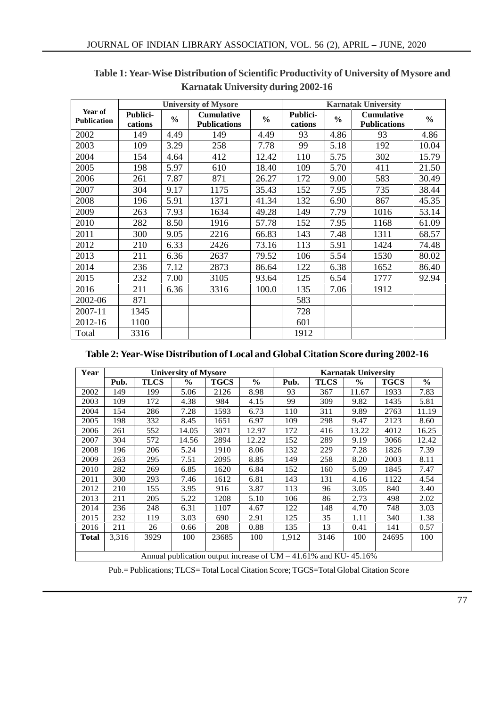| Year of<br><b>Publication</b> |                     | <b>University of Mysore</b> |                                          | <b>Karnatak University</b> |                            |               |                                          |                |
|-------------------------------|---------------------|-----------------------------|------------------------------------------|----------------------------|----------------------------|---------------|------------------------------------------|----------------|
|                               | Publici-<br>cations | $\frac{0}{0}$               | <b>Cumulative</b><br><b>Publications</b> | $\frac{0}{0}$              | <b>Publici-</b><br>cations | $\frac{0}{0}$ | <b>Cumulative</b><br><b>Publications</b> | $\frac{6}{10}$ |
| 2002                          | 149                 | 4.49                        | 149                                      | 4.49                       | 93                         | 4.86          | 93                                       | 4.86           |
| 2003                          | 109                 | 3.29                        | 258                                      | 7.78                       | 99                         | 5.18          | 192                                      | 10.04          |
| 2004                          | 154                 | 4.64                        | 412                                      | 12.42                      | 110                        | 5.75          | 302                                      | 15.79          |
| 2005                          | 198                 | 5.97                        | 610                                      | 18.40                      | 109                        | 5.70          | 411                                      | 21.50          |
| 2006                          | 261                 | 7.87                        | 871                                      | 26.27                      | 172                        | 9.00          | 583                                      | 30.49          |
| 2007                          | 304                 | 9.17                        | 1175                                     | 35.43                      | 152                        | 7.95          | 735                                      | 38.44          |
| 2008                          | 196                 | 5.91                        | 1371                                     | 41.34                      | 132                        | 6.90          | 867                                      | 45.35          |
| 2009                          | 263                 | 7.93                        | 1634                                     | 49.28                      | 149                        | 7.79          | 1016                                     | 53.14          |
| 2010                          | 282                 | 8.50                        | 1916                                     | 57.78                      | 152                        | 7.95          | 1168                                     | 61.09          |
| 2011                          | 300                 | 9.05                        | 2216                                     | 66.83                      | 143                        | 7.48          | 1311                                     | 68.57          |
| 2012                          | 210                 | 6.33                        | 2426                                     | 73.16                      | 113                        | 5.91          | 1424                                     | 74.48          |
| 2013                          | 211                 | 6.36                        | 2637                                     | 79.52                      | 106                        | 5.54          | 1530                                     | 80.02          |
| 2014                          | 236                 | 7.12                        | 2873                                     | 86.64                      | 122                        | 6.38          | 1652                                     | 86.40          |
| 2015                          | 232                 | 7.00                        | 3105                                     | 93.64                      | 125                        | 6.54          | 1777                                     | 92.94          |
| 2016                          | 211                 | 6.36                        | 3316                                     | 100.0                      | 135                        | 7.06          | 1912                                     |                |
| 2002-06                       | 871                 |                             |                                          |                            | 583                        |               |                                          |                |
| 2007-11                       | 1345                |                             |                                          |                            | 728                        |               |                                          |                |
| 2012-16                       | 1100                |                             |                                          |                            | 601                        |               |                                          |                |
| Total                         | 3316                |                             |                                          |                            | 1912                       |               |                                          |                |

**Table 1: Year-Wise Distribution of Scientific Productivity of University of Mysore and Karnatak University during 2002-16**

### **Table 2: Year-Wise Distribution of Local and Global Citation Score during 2002-16**

| Year         |                                                                    |             | <b>University of Mysore</b> |             |               | <b>Karnatak University</b> |             |               |             |               |  |
|--------------|--------------------------------------------------------------------|-------------|-----------------------------|-------------|---------------|----------------------------|-------------|---------------|-------------|---------------|--|
|              | Pub.                                                               | <b>TLCS</b> | $\frac{6}{10}$              | <b>TGCS</b> | $\frac{0}{0}$ | Pub.                       | <b>TLCS</b> | $\frac{6}{9}$ | <b>TGCS</b> | $\frac{6}{9}$ |  |
| 2002         | 149                                                                | 199         | 5.06                        | 2126        | 8.98          | 93                         | 367         | 11.67         | 1933        | 7.83          |  |
| 2003         | 109                                                                | 172         | 4.38                        | 984         | 4.15          | 99                         | 309         | 9.82          | 1435        | 5.81          |  |
| 2004         | 154                                                                | 286         | 7.28                        | 1593        | 6.73          | 110                        | 311         | 9.89          | 2763        | 11.19         |  |
| 2005         | 198                                                                | 332         | 8.45                        | 1651        | 6.97          | 109                        | 298         | 9.47          | 2123        | 8.60          |  |
| 2006         | 261                                                                | 552         | 14.05                       | 3071        | 12.97         | 172                        | 416         | 13.22         | 4012        | 16.25         |  |
| 2007         | 304                                                                | 572         | 14.56                       | 2894        | 12.22         | 152                        | 289         | 9.19          | 3066        | 12.42         |  |
| 2008         | 196                                                                | 206         | 5.24                        | 1910        | 8.06          | 132                        | 229         | 7.28          | 1826        | 7.39          |  |
| 2009         | 263                                                                | 295         | 7.51                        | 2095        | 8.85          | 149                        | 258         | 8.20          | 2003        | 8.11          |  |
| 2010         | 282                                                                | 269         | 6.85                        | 1620        | 6.84          | 152                        | 160         | 5.09          | 1845        | 7.47          |  |
| 2011         | 300                                                                | 293         | 7.46                        | 1612        | 6.81          | 143                        | 131         | 4.16          | 1122        | 4.54          |  |
| 2012         | 210                                                                | 155         | 3.95                        | 916         | 3.87          | 113                        | 96          | 3.05          | 840         | 3.40          |  |
| 2013         | 211                                                                | 205         | 5.22                        | 1208        | 5.10          | 106                        | 86          | 2.73          | 498         | 2.02          |  |
| 2014         | 236                                                                | 248         | 6.31                        | 1107        | 4.67          | 122                        | 148         | 4.70          | 748         | 3.03          |  |
| 2015         | 232                                                                | 119         | 3.03                        | 690         | 2.91          | 125                        | 35          | 1.11          | 340         | 1.38          |  |
| 2016         | 211                                                                | 26          | 0.66                        | 208         | 0.88          | 135                        | 13          | 0.41          | 141         | 0.57          |  |
| <b>Total</b> | 3,316                                                              | 3929        | 100                         | 23685       | 100           | 1,912                      | 3146        | 100           | 24695       | 100           |  |
|              |                                                                    |             |                             |             |               |                            |             |               |             |               |  |
|              | Annual publication output increase of $UM - 41.61\%$ and KU-45.16% |             |                             |             |               |                            |             |               |             |               |  |

Pub.= Publications; TLCS= Total Local Citation Score; TGCS=Total Global Citation Score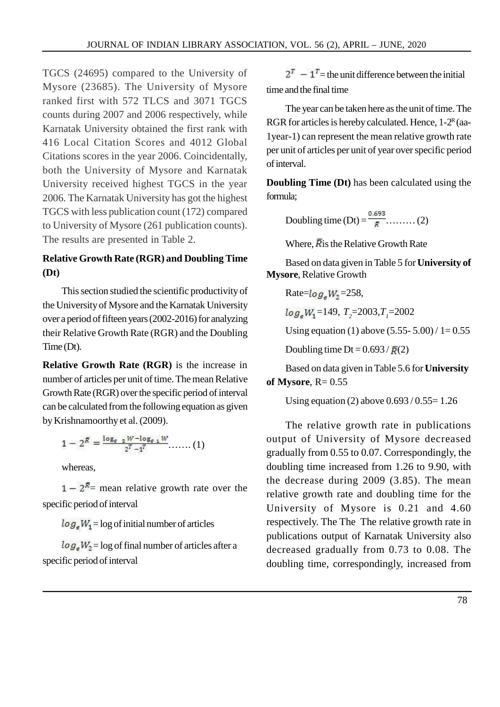TGCS (24695) compared to the University of Mysore (23685). The University of Mysore ranked first with 572 TLCS and 3071 TGCS counts during 2007 and 2006 respectively, while Karnatak University obtained the first rank with 416 Local Citation Scores and 4012 Global Citations scores in the year 2006. Coincidentally, both the University of Mysore and Karnatak University received highest TGCS in the year 2006. The Karnatak University has got the highest TGCS with less publication count (172) compared to University of Mysore (261 publication counts). The results are presented in Table 2.

# **Relative Growth Rate (RGR) and Doubling Time (Dt)**

This section studied the scientific productivity of the University of Mysore and the Karnatak University over a period of fifteen years (2002-2016) for analyzing their Relative Growth Rate (RGR) and the Doubling Time (Dt).

**Relative Growth Rate (RGR)** is the increase in number of articles per unit of time. The mean Relative Growth Rate (RGR) over the specific period of interval can be calculated from the following equation as given by Krishnamoorthy et al. (2009).

$$
1-2^{\bar{R}}=\frac{\log_{\varepsilon} \frac{1}{2}W-\log_{\varepsilon} \frac{1}{2}W}{2^T-1^T} \ldots \ldots (1)
$$

whereas,

 $1 - 2<sup>R</sup>$  mean relative growth rate over the specific period of interval

 $log_a W_1 = log$  of initial number of articles

 $log_a W_2$  = log of final number of articles after a specific period of interval

 $2^T - 1^T$  = the unit difference between the initial time and the final time

The year can be taken here as the unit of time. The RGR for articles is hereby calculated. Hence, 1-2<sup>R</sup> (aa-1year-1) can represent the mean relative growth rate per unit of articles per unit of year over specific period of interval.

**Doubling Time (Dt)** has been calculated using the formula;

Doubling time (Dt) = ……… (2)

Where,  $\overline{R}$  is the Relative Growth Rate

Based on data given in Table 5 for**University of Mysore**, Relative Growth

Rate=
$$
log_eW_2
$$
=258,  
 $log_eW_1$ =149,  $T_2$ =2003, $T_1$ =2002

Using equation (1) above  $(5.55 - 5.00) / 1 = 0.55$ 

Doubling time Dt =  $0.693 / \bar{R}(2)$ 

Based on data given in Table 5.6 for**University of Mysore**,  $R = 0.55$ 

Using equation (2) above  $0.693 / 0.55 = 1.26$ 

The relative growth rate in publications output of University of Mysore decreased gradually from 0.55 to 0.07. Correspondingly, the doubling time increased from 1.26 to 9.90, with the decrease during 2009 (3.85). The mean relative growth rate and doubling time for the University of Mysore is 0.21 and 4.60 respectively. The The The relative growth rate in publications output of Karnatak University also decreased gradually from 0.73 to 0.08. The doubling time, correspondingly, increased from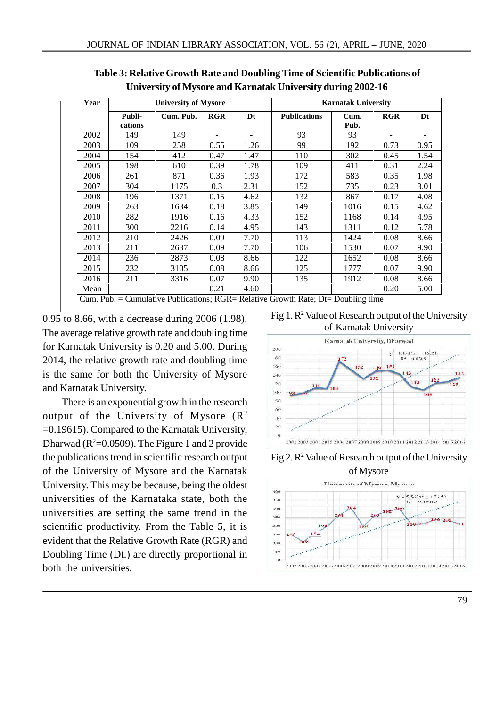| Year |                   | <b>University of Mysore</b> |            |      | <b>Karnatak University</b> |              |            |      |  |  |
|------|-------------------|-----------------------------|------------|------|----------------------------|--------------|------------|------|--|--|
|      | Publi-<br>cations | Cum. Pub.                   | <b>RGR</b> | Dt   | <b>Publications</b>        | Cum.<br>Pub. | <b>RGR</b> | Dt   |  |  |
| 2002 | 149               | 149                         |            |      | 93                         | 93           |            |      |  |  |
| 2003 | 109               | 258                         | 0.55       | 1.26 | 99                         | 192          | 0.73       | 0.95 |  |  |
| 2004 | 154               | 412                         | 0.47       | 1.47 | 110                        | 302          | 0.45       | 1.54 |  |  |
| 2005 | 198               | 610                         | 0.39       | 1.78 | 109                        | 411          | 0.31       | 2.24 |  |  |
| 2006 | 261               | 871                         | 0.36       | 1.93 | 172                        | 583          | 0.35       | 1.98 |  |  |
| 2007 | 304               | 1175                        | 0.3        | 2.31 | 152                        | 735          | 0.23       | 3.01 |  |  |
| 2008 | 196               | 1371                        | 0.15       | 4.62 | 132                        | 867          | 0.17       | 4.08 |  |  |
| 2009 | 263               | 1634                        | 0.18       | 3.85 | 149                        | 1016         | 0.15       | 4.62 |  |  |
| 2010 | 282               | 1916                        | 0.16       | 4.33 | 152                        | 1168         | 0.14       | 4.95 |  |  |
| 2011 | 300               | 2216                        | 0.14       | 4.95 | 143                        | 1311         | 0.12       | 5.78 |  |  |
| 2012 | 210               | 2426                        | 0.09       | 7.70 | 113                        | 1424         | 0.08       | 8.66 |  |  |
| 2013 | 211               | 2637                        | 0.09       | 7.70 | 106                        | 1530         | 0.07       | 9.90 |  |  |
| 2014 | 236               | 2873                        | 0.08       | 8.66 | 122                        | 1652         | 0.08       | 8.66 |  |  |
| 2015 | 232               | 3105                        | 0.08       | 8.66 | 125                        | 1777         | 0.07       | 9.90 |  |  |
| 2016 | 211               | 3316                        | 0.07       | 9.90 | 135                        | 1912         | 0.08       | 8.66 |  |  |
| Mean |                   |                             | 0.21       | 4.60 |                            |              | 0.20       | 5.00 |  |  |

**Table 3: Relative Growth Rate and Doubling Time of Scientific Publications of University of Mysore and Karnatak University during 2002-16**

Cum. Pub. = Cumulative Publications; RGR= Relative Growth Rate; Dt= Doubling time

0.95 to 8.66, with a decrease during 2006 (1.98). The average relative growth rate and doubling time for Karnatak University is 0.20 and 5.00. During 2014, the relative growth rate and doubling time is the same for both the University of Mysore and Karnatak University.

There is an exponential growth in the research output of the University of Mysore  $(R^2)$ =0.19615). Compared to the Karnatak University, Dharwad ( $R^2=0.0509$ ). The Figure 1 and 2 provide the publications trend in scientific research output of the University of Mysore and the Karnatak University. This may be because, being the oldest universities of the Karnataka state, both the universities are setting the same trend in the scientific productivity. From the Table 5, it is evident that the Relative Growth Rate (RGR) and Doubling Time (Dt.) are directly proportional in both the universities.

Fig 1. R<sup>2</sup> Value of Research output of the University of Karnatak University



Fig 2. R<sup>2</sup> Value of Research output of the University

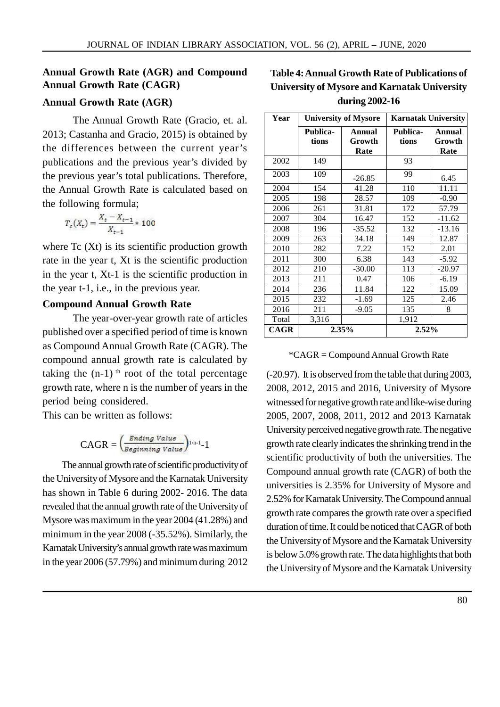# **Annual Growth Rate (AGR) and Compound Annual Growth Rate (CAGR)**

### **Annual Growth Rate (AGR)**

The Annual Growth Rate (Gracio, et. al. 2013; Castanha and Gracio, 2015) is obtained by the differences between the current year's publications and the previous year's divided by the previous year's total publications. Therefore, the Annual Growth Rate is calculated based on the following formula;

$$
T_c(X_t) = \frac{X_t - X_{t-1}}{X_{t-1}} \cdot 100
$$

where Tc (Xt) is its scientific production growth rate in the year t, Xt is the scientific production in the year t, Xt-1 is the scientific production in the year t-1, i.e., in the previous year.

#### **Compound Annual Growth Rate**

The year-over-year growth rate of articles published over a specified period of time is known as Compound Annual Growth Rate (CAGR). The compound annual growth rate is calculated by taking the  $(n-1)$ <sup>th</sup> root of the total percentage growth rate, where n is the number of years in the period being considered.

This can be written as follows:

$$
\text{CAGR} = \left(\frac{\text{Ending Value}}{\text{Beginning Value}}\right)^{1/n-1} \text{-} 1
$$

The annual growth rate of scientific productivity of the University of Mysore and the Karnatak University has shown in Table 6 during 2002- 2016. The data revealed that the annual growth rate of the University of Mysore was maximum in the year 2004 (41.28%) and minimum in the year 2008 (-35.52%). Similarly, the Karnatak University's annual growth rate was maximum in the year 2006 (57.79%) and minimum during 2012

# **Table 4: Annual Growth Rate of Publications of University of Mysore and Karnatak University during 2002-16**

| Year        |                   | <b>University of Mysore</b> | <b>Karnatak University</b> |                          |  |  |
|-------------|-------------------|-----------------------------|----------------------------|--------------------------|--|--|
|             | Publica-<br>tions | Annual<br>Growth<br>Rate    | Publica-<br>tions          | Annual<br>Growth<br>Rate |  |  |
| 2002        | 149               |                             | 93                         |                          |  |  |
| 2003        | 109               | $-26.85$                    | 99                         | 6.45                     |  |  |
| 2004        | 154               | 41.28                       | 110                        | 11.11                    |  |  |
| 2005        | 198               | 28.57                       | 109                        | $-0.90$                  |  |  |
| 2006        | 261               | 31.81                       | 172                        | 57.79                    |  |  |
| 2007        | 304               | 16.47                       | 152                        | $-11.62$                 |  |  |
| 2008        | 196               | $-35.52$                    | 132                        | $-13.16$                 |  |  |
| 2009        | 263               | 34.18                       | 149                        | 12.87                    |  |  |
| 2010        | 282               | 7.22                        | 152                        | 2.01                     |  |  |
| 2011        | 300               | 6.38                        | 143                        | $-5.92$                  |  |  |
| 2012        | 210               | $-30.00$                    | 113                        | -20.97                   |  |  |
| 2013        | 211               | 0.47                        | 106                        | $-6.19$                  |  |  |
| 2014        | 236               | 11.84                       | 122                        | 15.09                    |  |  |
| 2015        | 232               | $-1.69$                     | 125                        | 2.46                     |  |  |
| 2016        | 211               | $-9.05$                     | 135                        | 8                        |  |  |
| Total       | 3,316             |                             | 1,912                      |                          |  |  |
| <b>CAGR</b> |                   | 2.35%                       | 2.52%                      |                          |  |  |

\*CAGR = Compound Annual Growth Rate

(-20.97). It is observed from the table that during 2003, 2008, 2012, 2015 and 2016, University of Mysore witnessed for negative growth rate and like-wise during 2005, 2007, 2008, 2011, 2012 and 2013 Karnatak University perceived negative growth rate. The negative growth rate clearly indicates the shrinking trend in the scientific productivity of both the universities. The Compound annual growth rate (CAGR) of both the universities is 2.35% for University of Mysore and 2.52% for Karnatak University. The Compound annual growth rate compares the growth rate over a specified duration of time. It could be noticed that CAGR of both the University of Mysore and the Karnatak University is below 5.0% growth rate. The data highlights that both the University of Mysore and the Karnatak University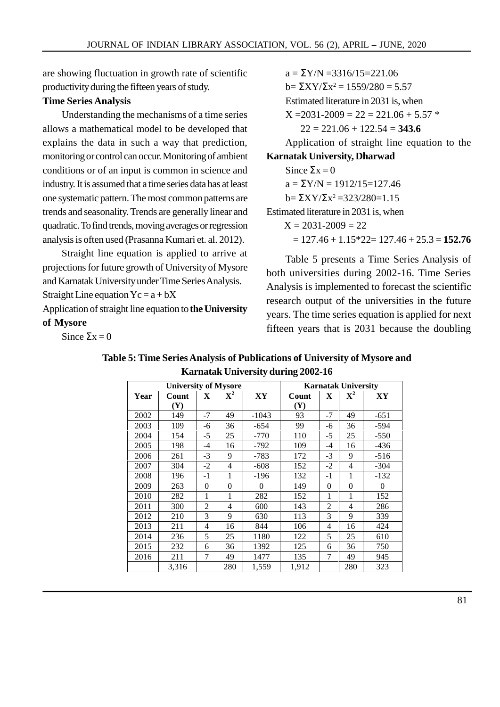are showing fluctuation in growth rate of scientific productivity during the fifteen years of study.

### **Time Series Analysis**

Understanding the mechanisms of a time series allows a mathematical model to be developed that explains the data in such a way that prediction, monitoring or control can occur. Monitoring of ambient conditions or of an input is common in science and industry. It is assumed that a time series data has at least one systematic pattern. The most common patterns are trends and seasonality. Trends are generally linear and quadratic. To find trends, moving averages or regression analysis is often used (Prasanna Kumari et. al. 2012).

Straight line equation is applied to arrive at projections for future growth of University of Mysore and Karnatak University under Time Series Analysis. Straight Line equation  $Yc = a + bX$ 

Application of straight line equation to**the University of Mysore**

Since  $\Sigma x = 0$ 

 $a = \Sigma Y/N = 3316/15 = 221.06$  $b = \sum XY/\sum x^2 = 1559/280 = 5.57$ Estimated literature in 2031 is, when  $X = 2031 - 2009 = 22 = 221.06 + 5.57$  22 = 221.06 + 122.54 = **343.6** Application of straight line equation to the **Karnatak University, Dharwad** Since  $\Sigma x = 0$  $a = \Sigma Y/N = 1912/15 = 127.46$  $b = \sum XY/\sum x^2 = 323/280 = 1.15$ Estimated literature in 2031 is, when

 $X = 2031 - 2009 = 22$ 

 $= 127.46 + 1.15*22 = 127.46 + 25.3 = 152.76$ 

Table 5 presents a Time Series Analysis of both universities during 2002-16. Time Series Analysis is implemented to forecast the scientific research output of the universities in the future years. The time series equation is applied for next fifteen years that is 2031 because the doubling

|      | <b>University of Mysore</b> |                |             |          | <b>Karnatak University</b> |                |                |          |  |
|------|-----------------------------|----------------|-------------|----------|----------------------------|----------------|----------------|----------|--|
| Year | Count                       | X              | ${\bf X}^2$ | XY       | Count                      | X              | ${\bf X}^2$    | XY       |  |
|      | $(\mathbf{Y})$              |                |             |          | (Y)                        |                |                |          |  |
| 2002 | 149                         | $-7$           | 49          | $-1043$  | 93                         | $-7$           | 49             | $-651$   |  |
| 2003 | 109                         | -6             | 36          | $-654$   | 99                         | -6             | 36             | $-594$   |  |
| 2004 | 154                         | $-5$           | 25          | $-770$   | 110                        | $-5$           | 25             | $-550$   |  |
| 2005 | 198                         | $-4$           | 16          | $-792$   | 109                        | $-4$           | 16             | $-436$   |  |
| 2006 | 261                         | $-3$           | 9           | $-783$   | 172                        | $-3$           | 9              | $-516$   |  |
| 2007 | 304                         | $-2$           | 4           | $-608$   | 152                        | $-2$           | 4              | $-304$   |  |
| 2008 | 196                         | $-1$           | 1           | -196     | 132                        | $-1$           |                | $-132$   |  |
| 2009 | 263                         | $\theta$       | $\theta$    | $\Omega$ | 149                        | $\theta$       | $\theta$       | $\theta$ |  |
| 2010 | 282                         | 1              | 1           | 282      | 152                        | 1              | 1              | 152      |  |
| 2011 | 300                         | $\overline{2}$ | 4           | 600      | 143                        | $\overline{2}$ | $\overline{4}$ | 286      |  |
| 2012 | 210                         | 3              | 9           | 630      | 113                        | 3              | 9              | 339      |  |
| 2013 | 211                         | 4              | 16          | 844      | 106                        | 4              | 16             | 424      |  |
| 2014 | 236                         | 5              | 25          | 1180     | 122                        | 5              | 25             | 610      |  |
| 2015 | 232                         | 6              | 36          | 1392     | 125                        | 6              | 36             | 750      |  |
| 2016 | 211                         | 7              | 49          | 1477     | 135                        | 7              | 49             | 945      |  |
|      | 3,316                       |                | 280         | 1,559    | 1,912                      |                | 280            | 323      |  |

| Table 5: Time Series Analysis of Publications of University of Mysore and |  |
|---------------------------------------------------------------------------|--|
| <b>Karnatak University during 2002-16</b>                                 |  |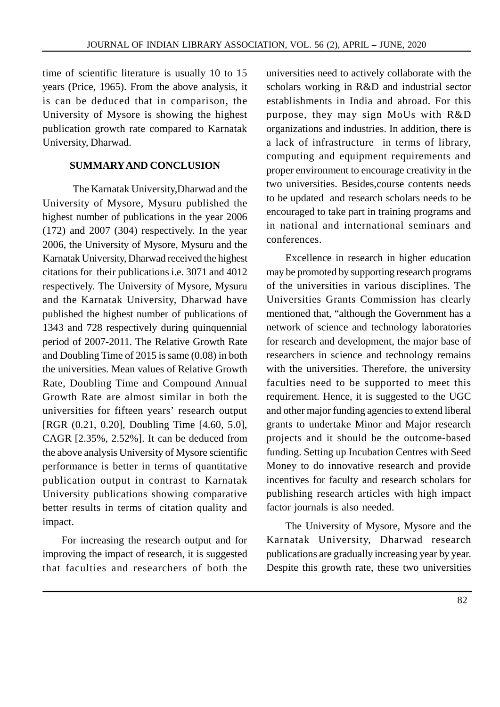time of scientific literature is usually 10 to 15 years (Price, 1965). From the above analysis, it is can be deduced that in comparison, the University of Mysore is showing the highest publication growth rate compared to Karnatak University, Dharwad.

### **SUMMARY AND CONCLUSION**

The Karnatak University,Dharwad and the University of Mysore, Mysuru published the highest number of publications in the year 2006 (172) and 2007 (304) respectively. In the year 2006, the University of Mysore, Mysuru and the Karnatak University, Dharwad received the highest citations for their publications i.e. 3071 and 4012 respectively. The University of Mysore, Mysuru and the Karnatak University, Dharwad have published the highest number of publications of 1343 and 728 respectively during quinquennial period of 2007-2011. The Relative Growth Rate and Doubling Time of 2015 is same (0.08) in both the universities. Mean values of Relative Growth Rate, Doubling Time and Compound Annual Growth Rate are almost similar in both the universities for fifteen years' research output [RGR (0.21, 0.20], Doubling Time [4.60, 5.0], CAGR [2.35%, 2.52%]. It can be deduced from the above analysis University of Mysore scientific performance is better in terms of quantitative publication output in contrast to Karnatak University publications showing comparative better results in terms of citation quality and impact.

For increasing the research output and for improving the impact of research, it is suggested that faculties and researchers of both the universities need to actively collaborate with the scholars working in R&D and industrial sector establishments in India and abroad. For this purpose, they may sign MoUs with R&D organizations and industries. In addition, there is a lack of infrastructure in terms of library, computing and equipment requirements and proper environment to encourage creativity in the two universities. Besides,course contents needs to be updated and research scholars needs to be encouraged to take part in training programs and in national and international seminars and conferences.

Excellence in research in higher education may be promoted by supporting research programs of the universities in various disciplines. The Universities Grants Commission has clearly mentioned that, "although the Government has a network of science and technology laboratories for research and development, the major base of researchers in science and technology remains with the universities. Therefore, the university faculties need to be supported to meet this requirement. Hence, it is suggested to the UGC and other major funding agencies to extend liberal grants to undertake Minor and Major research projects and it should be the outcome-based funding. Setting up Incubation Centres with Seed Money to do innovative research and provide incentives for faculty and research scholars for publishing research articles with high impact factor journals is also needed.

The University of Mysore, Mysore and the Karnatak University, Dharwad research publications are gradually increasing year by year. Despite this growth rate, these two universities